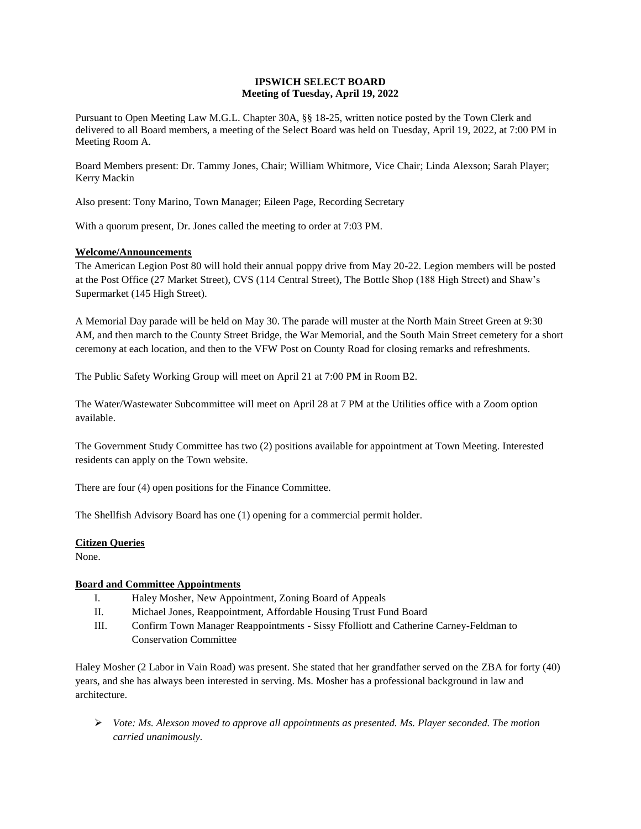## **IPSWICH SELECT BOARD Meeting of Tuesday, April 19, 2022**

Pursuant to Open Meeting Law M.G.L. Chapter 30A, §§ 18-25, written notice posted by the Town Clerk and delivered to all Board members, a meeting of the Select Board was held on Tuesday, April 19, 2022, at 7:00 PM in Meeting Room A.

Board Members present: Dr. Tammy Jones, Chair; William Whitmore, Vice Chair; Linda Alexson; Sarah Player; Kerry Mackin

Also present: Tony Marino, Town Manager; Eileen Page, Recording Secretary

With a quorum present, Dr. Jones called the meeting to order at 7:03 PM.

#### **Welcome/Announcements**

The American Legion Post 80 will hold their annual poppy drive from May 20-22. Legion members will be posted at the Post Office (27 Market Street), CVS (114 Central Street), The Bottle Shop (188 High Street) and Shaw's Supermarket (145 High Street).

A Memorial Day parade will be held on May 30. The parade will muster at the North Main Street Green at 9:30 AM, and then march to the County Street Bridge, the War Memorial, and the South Main Street cemetery for a short ceremony at each location, and then to the VFW Post on County Road for closing remarks and refreshments.

The Public Safety Working Group will meet on April 21 at 7:00 PM in Room B2.

The Water/Wastewater Subcommittee will meet on April 28 at 7 PM at the Utilities office with a Zoom option available.

The Government Study Committee has two (2) positions available for appointment at Town Meeting. Interested residents can apply on the Town website.

There are four (4) open positions for the Finance Committee.

The Shellfish Advisory Board has one (1) opening for a commercial permit holder.

### **Citizen Queries**

None.

### **Board and Committee Appointments**

- I. Haley Mosher, New Appointment, Zoning Board of Appeals
- II. Michael Jones, Reappointment, Affordable Housing Trust Fund Board
- III. Confirm Town Manager Reappointments Sissy Ffolliott and Catherine Carney-Feldman to Conservation Committee

Haley Mosher (2 Labor in Vain Road) was present. She stated that her grandfather served on the ZBA for forty (40) years, and she has always been interested in serving. Ms. Mosher has a professional background in law and architecture.

➢ *Vote: Ms. Alexson moved to approve all appointments as presented. Ms. Player seconded. The motion carried unanimously.*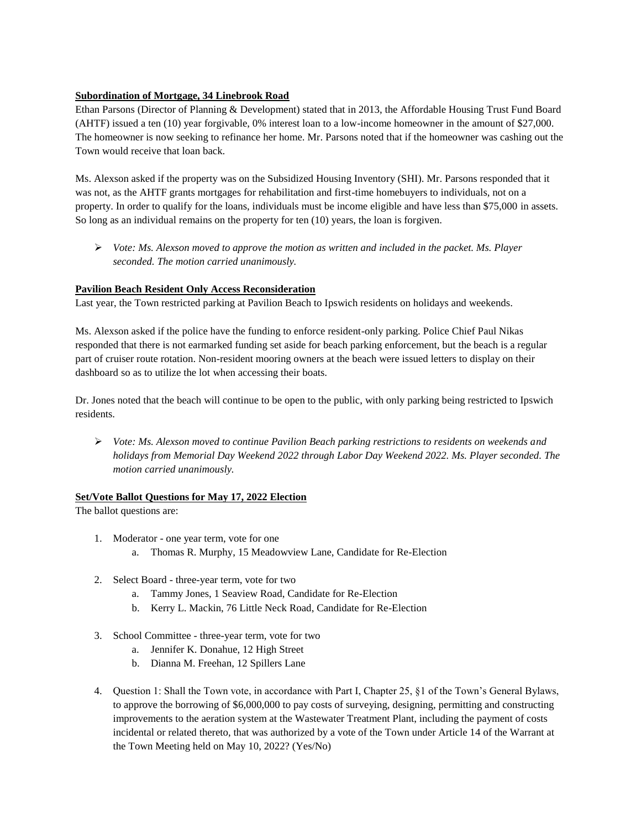# **Subordination of Mortgage, 34 Linebrook Road**

Ethan Parsons (Director of Planning & Development) stated that in 2013, the Affordable Housing Trust Fund Board (AHTF) issued a ten (10) year forgivable, 0% interest loan to a low-income homeowner in the amount of \$27,000. The homeowner is now seeking to refinance her home. Mr. Parsons noted that if the homeowner was cashing out the Town would receive that loan back.

Ms. Alexson asked if the property was on the Subsidized Housing Inventory (SHI). Mr. Parsons responded that it was not, as the AHTF grants mortgages for rehabilitation and first-time homebuyers to individuals, not on a property. In order to qualify for the loans, individuals must be income eligible and have less than \$75,000 in assets. So long as an individual remains on the property for ten (10) years, the loan is forgiven.

➢ *Vote: Ms. Alexson moved to approve the motion as written and included in the packet. Ms. Player seconded. The motion carried unanimously.*

# **Pavilion Beach Resident Only Access Reconsideration**

Last year, the Town restricted parking at Pavilion Beach to Ipswich residents on holidays and weekends.

Ms. Alexson asked if the police have the funding to enforce resident-only parking. Police Chief Paul Nikas responded that there is not earmarked funding set aside for beach parking enforcement, but the beach is a regular part of cruiser route rotation. Non-resident mooring owners at the beach were issued letters to display on their dashboard so as to utilize the lot when accessing their boats.

Dr. Jones noted that the beach will continue to be open to the public, with only parking being restricted to Ipswich residents.

➢ *Vote: Ms. Alexson moved to continue Pavilion Beach parking restrictions to residents on weekends and holidays from Memorial Day Weekend 2022 through Labor Day Weekend 2022. Ms. Player seconded. The motion carried unanimously.*

### **Set/Vote Ballot Questions for May 17, 2022 Election**

The ballot questions are:

- 1. Moderator one year term, vote for one
	- a. Thomas R. Murphy, 15 Meadowview Lane, Candidate for Re-Election
- 2. Select Board three-year term, vote for two
	- a. Tammy Jones, 1 Seaview Road, Candidate for Re-Election
	- b. Kerry L. Mackin, 76 Little Neck Road, Candidate for Re-Election
- 3. School Committee three-year term, vote for two
	- a. Jennifer K. Donahue, 12 High Street
	- b. Dianna M. Freehan, 12 Spillers Lane
- 4. Question 1: Shall the Town vote, in accordance with Part I, Chapter 25, §1 of the Town's General Bylaws, to approve the borrowing of \$6,000,000 to pay costs of surveying, designing, permitting and constructing improvements to the aeration system at the Wastewater Treatment Plant, including the payment of costs incidental or related thereto, that was authorized by a vote of the Town under Article 14 of the Warrant at the Town Meeting held on May 10, 2022? (Yes/No)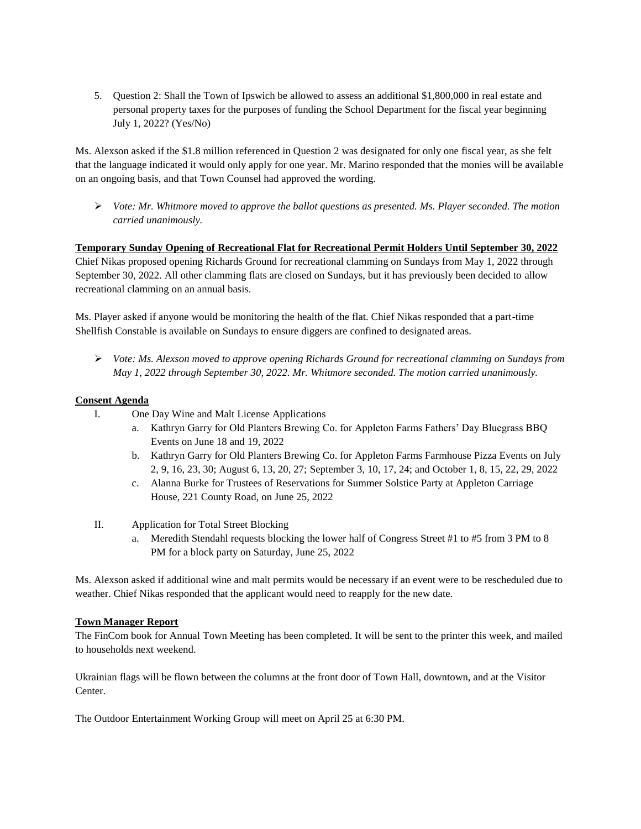5. Question 2: Shall the Town of Ipswich be allowed to assess an additional \$1,800,000 in real estate and personal property taxes for the purposes of funding the School Department for the fiscal year beginning July 1, 2022? (Yes/No)

Ms. Alexson asked if the \$1.8 million referenced in Question 2 was designated for only one fiscal year, as she felt that the language indicated it would only apply for one year. Mr. Marino responded that the monies will be available on an ongoing basis, and that Town Counsel had approved the wording.

➢ *Vote: Mr. Whitmore moved to approve the ballot questions as presented. Ms. Player seconded. The motion carried unanimously.*

**Temporary Sunday Opening of Recreational Flat for Recreational Permit Holders Until September 30, 2022** Chief Nikas proposed opening Richards Ground for recreational clamming on Sundays from May 1, 2022 through September 30, 2022. All other clamming flats are closed on Sundays, but it has previously been decided to allow recreational clamming on an annual basis.

Ms. Player asked if anyone would be monitoring the health of the flat. Chief Nikas responded that a part-time Shellfish Constable is available on Sundays to ensure diggers are confined to designated areas.

➢ *Vote: Ms. Alexson moved to approve opening Richards Ground for recreational clamming on Sundays from May 1, 2022 through September 30, 2022. Mr. Whitmore seconded. The motion carried unanimously.*

# **Consent Agenda**

- I. One Day Wine and Malt License Applications
	- a. Kathryn Garry for Old Planters Brewing Co. for Appleton Farms Fathers' Day Bluegrass BBQ Events on June 18 and 19, 2022
	- b. Kathryn Garry for Old Planters Brewing Co. for Appleton Farms Farmhouse Pizza Events on July 2, 9, 16, 23, 30; August 6, 13, 20, 27; September 3, 10, 17, 24; and October 1, 8, 15, 22, 29, 2022
	- c. Alanna Burke for Trustees of Reservations for Summer Solstice Party at Appleton Carriage House, 221 County Road, on June 25, 2022
- II. Application for Total Street Blocking
	- a. Meredith Stendahl requests blocking the lower half of Congress Street #1 to #5 from 3 PM to 8 PM for a block party on Saturday, June 25, 2022

Ms. Alexson asked if additional wine and malt permits would be necessary if an event were to be rescheduled due to weather. Chief Nikas responded that the applicant would need to reapply for the new date.

### **Town Manager Report**

The FinCom book for Annual Town Meeting has been completed. It will be sent to the printer this week, and mailed to households next weekend.

Ukrainian flags will be flown between the columns at the front door of Town Hall, downtown, and at the Visitor Center.

The Outdoor Entertainment Working Group will meet on April 25 at 6:30 PM.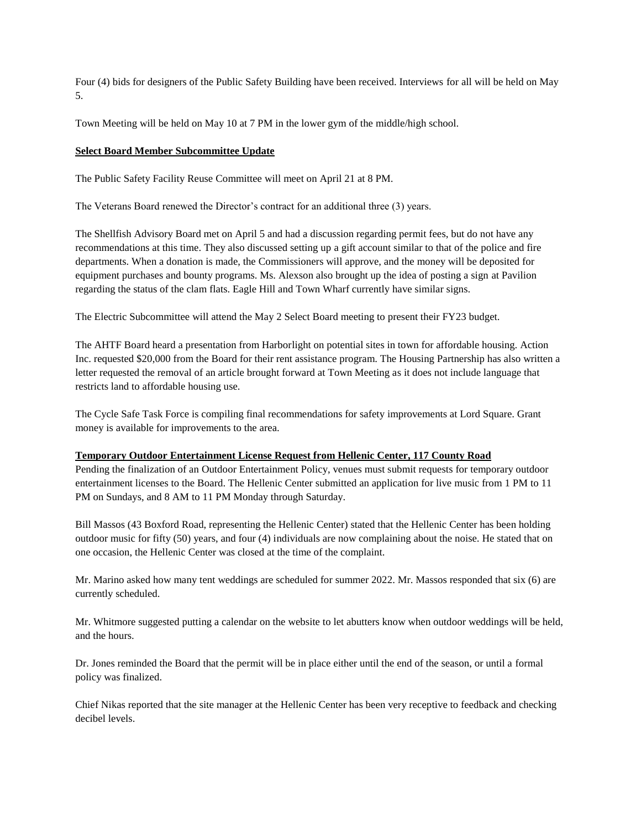Four (4) bids for designers of the Public Safety Building have been received. Interviews for all will be held on May 5.

Town Meeting will be held on May 10 at 7 PM in the lower gym of the middle/high school.

### **Select Board Member Subcommittee Update**

The Public Safety Facility Reuse Committee will meet on April 21 at 8 PM.

The Veterans Board renewed the Director's contract for an additional three (3) years.

The Shellfish Advisory Board met on April 5 and had a discussion regarding permit fees, but do not have any recommendations at this time. They also discussed setting up a gift account similar to that of the police and fire departments. When a donation is made, the Commissioners will approve, and the money will be deposited for equipment purchases and bounty programs. Ms. Alexson also brought up the idea of posting a sign at Pavilion regarding the status of the clam flats. Eagle Hill and Town Wharf currently have similar signs.

The Electric Subcommittee will attend the May 2 Select Board meeting to present their FY23 budget.

The AHTF Board heard a presentation from Harborlight on potential sites in town for affordable housing. Action Inc. requested \$20,000 from the Board for their rent assistance program. The Housing Partnership has also written a letter requested the removal of an article brought forward at Town Meeting as it does not include language that restricts land to affordable housing use.

The Cycle Safe Task Force is compiling final recommendations for safety improvements at Lord Square. Grant money is available for improvements to the area.

### **Temporary Outdoor Entertainment License Request from Hellenic Center, 117 County Road**

Pending the finalization of an Outdoor Entertainment Policy, venues must submit requests for temporary outdoor entertainment licenses to the Board. The Hellenic Center submitted an application for live music from 1 PM to 11 PM on Sundays, and 8 AM to 11 PM Monday through Saturday.

Bill Massos (43 Boxford Road, representing the Hellenic Center) stated that the Hellenic Center has been holding outdoor music for fifty (50) years, and four (4) individuals are now complaining about the noise. He stated that on one occasion, the Hellenic Center was closed at the time of the complaint.

Mr. Marino asked how many tent weddings are scheduled for summer 2022. Mr. Massos responded that six (6) are currently scheduled.

Mr. Whitmore suggested putting a calendar on the website to let abutters know when outdoor weddings will be held, and the hours.

Dr. Jones reminded the Board that the permit will be in place either until the end of the season, or until a formal policy was finalized.

Chief Nikas reported that the site manager at the Hellenic Center has been very receptive to feedback and checking decibel levels.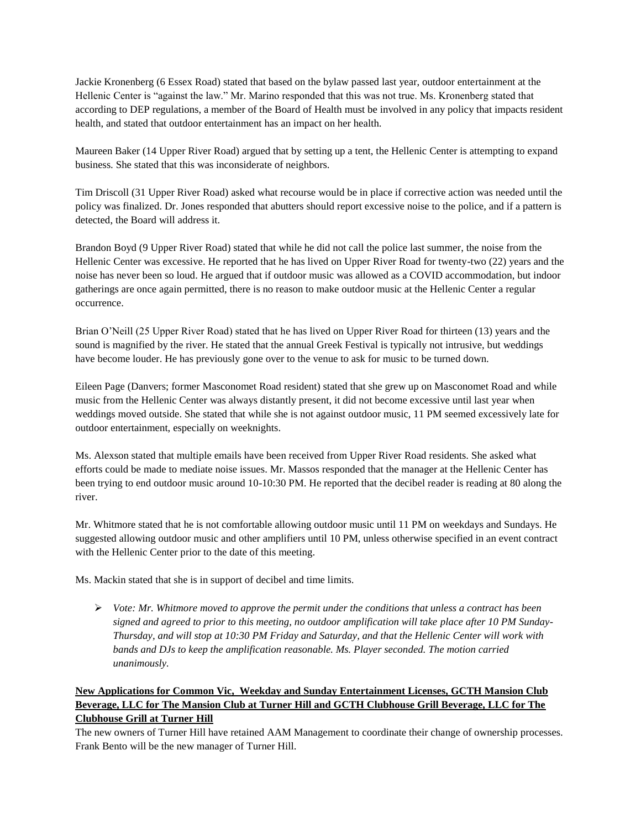Jackie Kronenberg (6 Essex Road) stated that based on the bylaw passed last year, outdoor entertainment at the Hellenic Center is "against the law." Mr. Marino responded that this was not true. Ms. Kronenberg stated that according to DEP regulations, a member of the Board of Health must be involved in any policy that impacts resident health, and stated that outdoor entertainment has an impact on her health.

Maureen Baker (14 Upper River Road) argued that by setting up a tent, the Hellenic Center is attempting to expand business. She stated that this was inconsiderate of neighbors.

Tim Driscoll (31 Upper River Road) asked what recourse would be in place if corrective action was needed until the policy was finalized. Dr. Jones responded that abutters should report excessive noise to the police, and if a pattern is detected, the Board will address it.

Brandon Boyd (9 Upper River Road) stated that while he did not call the police last summer, the noise from the Hellenic Center was excessive. He reported that he has lived on Upper River Road for twenty-two (22) years and the noise has never been so loud. He argued that if outdoor music was allowed as a COVID accommodation, but indoor gatherings are once again permitted, there is no reason to make outdoor music at the Hellenic Center a regular occurrence.

Brian O'Neill (25 Upper River Road) stated that he has lived on Upper River Road for thirteen (13) years and the sound is magnified by the river. He stated that the annual Greek Festival is typically not intrusive, but weddings have become louder. He has previously gone over to the venue to ask for music to be turned down.

Eileen Page (Danvers; former Masconomet Road resident) stated that she grew up on Masconomet Road and while music from the Hellenic Center was always distantly present, it did not become excessive until last year when weddings moved outside. She stated that while she is not against outdoor music, 11 PM seemed excessively late for outdoor entertainment, especially on weeknights.

Ms. Alexson stated that multiple emails have been received from Upper River Road residents. She asked what efforts could be made to mediate noise issues. Mr. Massos responded that the manager at the Hellenic Center has been trying to end outdoor music around 10-10:30 PM. He reported that the decibel reader is reading at 80 along the river.

Mr. Whitmore stated that he is not comfortable allowing outdoor music until 11 PM on weekdays and Sundays. He suggested allowing outdoor music and other amplifiers until 10 PM, unless otherwise specified in an event contract with the Hellenic Center prior to the date of this meeting.

Ms. Mackin stated that she is in support of decibel and time limits.

➢ *Vote: Mr. Whitmore moved to approve the permit under the conditions that unless a contract has been signed and agreed to prior to this meeting, no outdoor amplification will take place after 10 PM Sunday-Thursday, and will stop at 10:30 PM Friday and Saturday, and that the Hellenic Center will work with bands and DJs to keep the amplification reasonable. Ms. Player seconded. The motion carried unanimously.*

# **New Applications for Common Vic, Weekday and Sunday Entertainment Licenses, GCTH Mansion Club Beverage, LLC for The Mansion Club at Turner Hill and GCTH Clubhouse Grill Beverage, LLC for The Clubhouse Grill at Turner Hill**

The new owners of Turner Hill have retained AAM Management to coordinate their change of ownership processes. Frank Bento will be the new manager of Turner Hill.